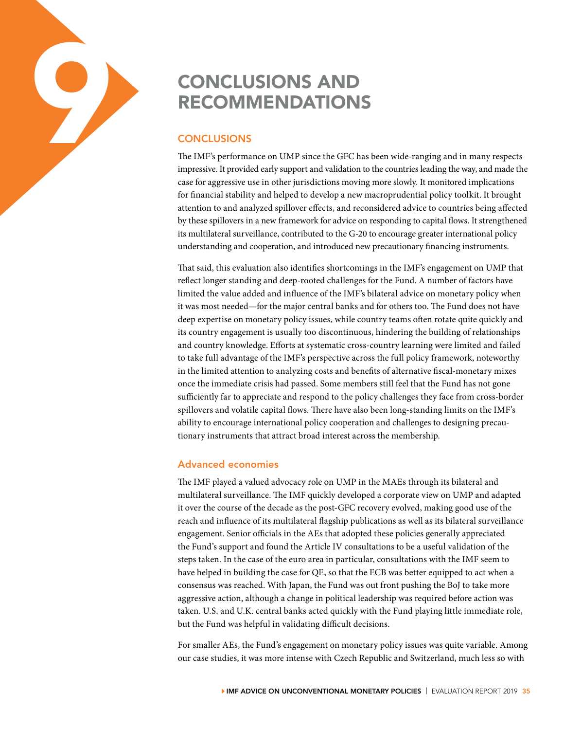# **CONCLUSIONS AND<br>
RECOMMENDATIONS<br>
CONCLUSIONS<br>
The IMF's performance on UMP since the GFC ha<br>
impressive. It provided early support and validation t** RECOMMENDATIONS

# **CONCLUSIONS**

The IMF's performance on UMP since the GFC has been wide-ranging and in many respects impressive. It provided early support and validation to the countries leading the way, and made the case for aggressive use in other jurisdictions moving more slowly. It monitored implications for financial stability and helped to develop a new macroprudential policy toolkit. It brought attention to and analyzed spillover effects, and reconsidered advice to countries being affected by these spillovers in a new framework for advice on responding to capital flows. It strengthened its multilateral surveillance, contributed to the G-20 to encourage greater international policy understanding and cooperation, and introduced new precautionary financing instruments.

That said, this evaluation also identifies shortcomings in the IMF's engagement on UMP that reflect longer standing and deep-rooted challenges for the Fund. A number of factors have limited the value added and influence of the IMF's bilateral advice on monetary policy when it was most needed—for the major central banks and for others too. The Fund does not have deep expertise on monetary policy issues, while country teams often rotate quite quickly and its country engagement is usually too discontinuous, hindering the building of relationships and country knowledge. Efforts at systematic cross-country learning were limited and failed to take full advantage of the IMF's perspective across the full policy framework, noteworthy in the limited attention to analyzing costs and benefits of alternative fiscal-monetary mixes once the immediate crisis had passed. Some members still feel that the Fund has not gone sufficiently far to appreciate and respond to the policy challenges they face from cross-border spillovers and volatile capital flows. There have also been long-standing limits on the IMF's ability to encourage international policy cooperation and challenges to designing precautionary instruments that attract broad interest across the membership.

## Advanced economies

The IMF played a valued advocacy role on UMP in the MAEs through its bilateral and multilateral surveillance. The IMF quickly developed a corporate view on UMP and adapted it over the course of the decade as the post-GFC recovery evolved, making good use of the reach and influence of its multilateral flagship publications as well as its bilateral surveillance engagement. Senior officials in the AEs that adopted these policies generally appreciated the Fund's support and found the Article IV consultations to be a useful validation of the steps taken. In the case of the euro area in particular, consultations with the IMF seem to have helped in building the case for QE, so that the ECB was better equipped to act when a consensus was reached. With Japan, the Fund was out front pushing the BoJ to take more aggressive action, although a change in political leadership was required before action was taken. U.S. and U.K. central banks acted quickly with the Fund playing little immediate role, but the Fund was helpful in validating difficult decisions.

For smaller AEs, the Fund's engagement on monetary policy issues was quite variable. Among our case studies, it was more intense with Czech Republic and Switzerland, much less so with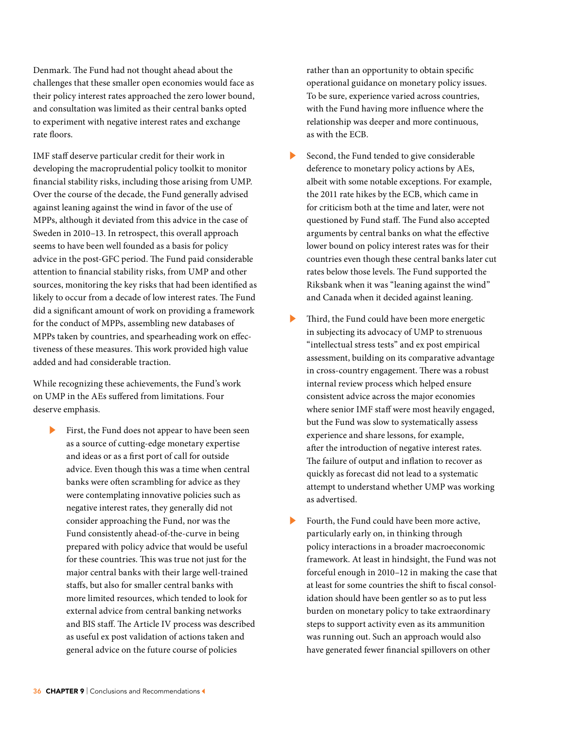Denmark. The Fund had not thought ahead about the challenges that these smaller open economies would face as their policy interest rates approached the zero lower bound, and consultation was limited as their central banks opted to experiment with negative interest rates and exchange rate floors.

IMF staff deserve particular credit for their work in developing the macroprudential policy toolkit to monitor financial stability risks, including those arising from UMP. Over the course of the decade, the Fund generally advised against leaning against the wind in favor of the use of MPPs, although it deviated from this advice in the case of Sweden in 2010–13. In retrospect, this overall approach seems to have been well founded as a basis for policy advice in the post-GFC period. The Fund paid considerable attention to financial stability risks, from UMP and other sources, monitoring the key risks that had been identified as likely to occur from a decade of low interest rates. The Fund did a significant amount of work on providing a framework for the conduct of MPPs, assembling new databases of MPPs taken by countries, and spearheading work on effectiveness of these measures. This work provided high value added and had considerable traction.

While recognizing these achievements, the Fund's work on UMP in the AEs suffered from limitations. Four deserve emphasis.

First, the Fund does not appear to have been seen as a source of cutting-edge monetary expertise and ideas or as a first port of call for outside advice. Even though this was a time when central banks were often scrambling for advice as they were contemplating innovative policies such as negative interest rates, they generally did not consider approaching the Fund, nor was the Fund consistently ahead-of-the-curve in being prepared with policy advice that would be useful for these countries. This was true not just for the major central banks with their large well-trained staffs, but also for smaller central banks with more limited resources, which tended to look for external advice from central banking networks and BIS staff. The Article IV process was described as useful ex post validation of actions taken and general advice on the future course of policies

rather than an opportunity to obtain specific operational guidance on monetary policy issues. To be sure, experience varied across countries, with the Fund having more influence where the relationship was deeper and more continuous, as with the ECB.

- Second, the Fund tended to give considerable deference to monetary policy actions by AEs, albeit with some notable exceptions. For example, the 2011 rate hikes by the ECB, which came in for criticism both at the time and later, were not questioned by Fund staff. The Fund also accepted arguments by central banks on what the effective lower bound on policy interest rates was for their countries even though these central banks later cut rates below those levels. The Fund supported the Riksbank when it was "leaning against the wind" and Canada when it decided against leaning.
- Third, the Fund could have been more energetic in subjecting its advocacy of UMP to strenuous "intellectual stress tests" and ex post empirical assessment, building on its comparative advantage in cross-country engagement. There was a robust internal review process which helped ensure consistent advice across the major economies where senior IMF staff were most heavily engaged, but the Fund was slow to systematically assess experience and share lessons, for example, after the introduction of negative interest rates. The failure of output and inflation to recover as quickly as forecast did not lead to a systematic attempt to understand whether UMP was working as advertised.
- Fourth, the Fund could have been more active, particularly early on, in thinking through policy interactions in a broader macroeconomic framework. At least in hindsight, the Fund was not forceful enough in 2010–12 in making the case that at least for some countries the shift to fiscal consolidation should have been gentler so as to put less burden on monetary policy to take extraordinary steps to support activity even as its ammunition was running out. Such an approach would also have generated fewer financial spillovers on other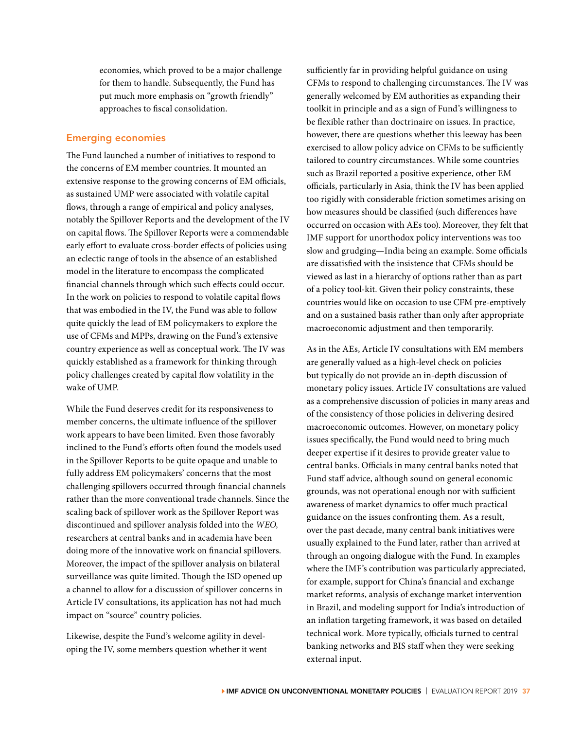economies, which proved to be a major challenge for them to handle. Subsequently, the Fund has put much more emphasis on "growth friendly" approaches to fiscal consolidation.

### Emerging economies

The Fund launched a number of initiatives to respond to the concerns of EM member countries. It mounted an extensive response to the growing concerns of EM officials, as sustained UMP were associated with volatile capital flows, through a range of empirical and policy analyses, notably the Spillover Reports and the development of the IV on capital flows. The Spillover Reports were a commendable early effort to evaluate cross-border effects of policies using an eclectic range of tools in the absence of an established model in the literature to encompass the complicated financial channels through which such effects could occur. In the work on policies to respond to volatile capital flows that was embodied in the IV, the Fund was able to follow quite quickly the lead of EM policymakers to explore the use of CFMs and MPPs, drawing on the Fund's extensive country experience as well as conceptual work. The IV was quickly established as a framework for thinking through policy challenges created by capital flow volatility in the wake of UMP.

While the Fund deserves credit for its responsiveness to member concerns, the ultimate influence of the spillover work appears to have been limited. Even those favorably inclined to the Fund's efforts often found the models used in the Spillover Reports to be quite opaque and unable to fully address EM policymakers' concerns that the most challenging spillovers occurred through financial channels rather than the more conventional trade channels. Since the scaling back of spillover work as the Spillover Report was discontinued and spillover analysis folded into the *WEO,*  researchers at central banks and in academia have been doing more of the innovative work on financial spillovers. Moreover, the impact of the spillover analysis on bilateral surveillance was quite limited. Though the ISD opened up a channel to allow for a discussion of spillover concerns in Article IV consultations, its application has not had much impact on "source" country policies.

Likewise, despite the Fund's welcome agility in developing the IV, some members question whether it went sufficiently far in providing helpful guidance on using CFMs to respond to challenging circumstances. The IV was generally welcomed by EM authorities as expanding their toolkit in principle and as a sign of Fund's willingness to be flexible rather than doctrinaire on issues. In practice, however, there are questions whether this leeway has been exercised to allow policy advice on CFMs to be sufficiently tailored to country circumstances. While some countries such as Brazil reported a positive experience, other EM officials, particularly in Asia, think the IV has been applied too rigidly with considerable friction sometimes arising on how measures should be classified (such differences have occurred on occasion with AEs too). Moreover, they felt that IMF support for unorthodox policy interventions was too slow and grudging—India being an example. Some officials are dissatisfied with the insistence that CFMs should be viewed as last in a hierarchy of options rather than as part of a policy tool-kit. Given their policy constraints, these countries would like on occasion to use CFM pre-emptively and on a sustained basis rather than only after appropriate macroeconomic adjustment and then temporarily.

As in the AEs, Article IV consultations with EM members are generally valued as a high-level check on policies but typically do not provide an in-depth discussion of monetary policy issues. Article IV consultations are valued as a comprehensive discussion of policies in many areas and of the consistency of those policies in delivering desired macroeconomic outcomes. However, on monetary policy issues specifically, the Fund would need to bring much deeper expertise if it desires to provide greater value to central banks. Officials in many central banks noted that Fund staff advice, although sound on general economic grounds, was not operational enough nor with sufficient awareness of market dynamics to offer much practical guidance on the issues confronting them. As a result, over the past decade, many central bank initiatives were usually explained to the Fund later, rather than arrived at through an ongoing dialogue with the Fund. In examples where the IMF's contribution was particularly appreciated, for example, support for China's financial and exchange market reforms, analysis of exchange market intervention in Brazil, and modeling support for India's introduction of an inflation targeting framework, it was based on detailed technical work. More typically, officials turned to central banking networks and BIS staff when they were seeking external input.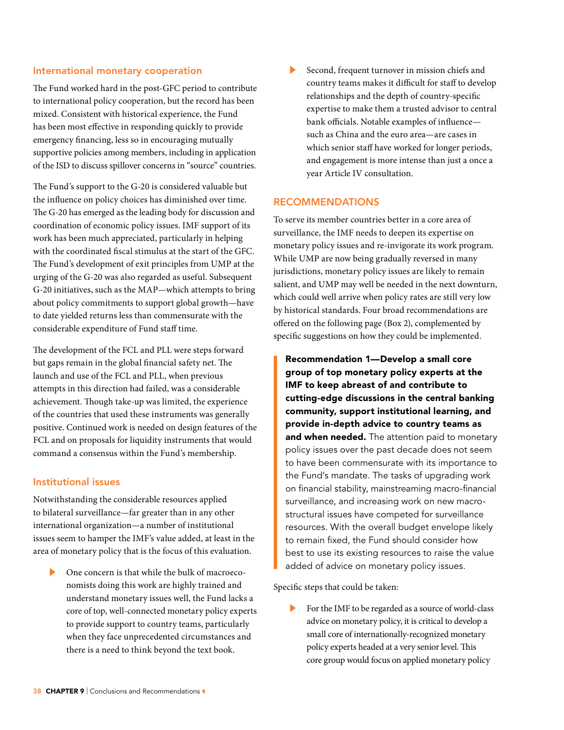#### International monetary cooperation

The Fund worked hard in the post-GFC period to contribute to international policy cooperation, but the record has been mixed. Consistent with historical experience, the Fund has been most effective in responding quickly to provide emergency financing, less so in encouraging mutually supportive policies among members, including in application of the ISD to discuss spillover concerns in "source" countries.

The Fund's support to the G-20 is considered valuable but the influence on policy choices has diminished over time. The G-20 has emerged as the leading body for discussion and coordination of economic policy issues. IMF support of its work has been much appreciated, particularly in helping with the coordinated fiscal stimulus at the start of the GFC. The Fund's development of exit principles from UMP at the urging of the G-20 was also regarded as useful. Subsequent G-20 initiatives, such as the MAP—which attempts to bring about policy commitments to support global growth—have to date yielded returns less than commensurate with the considerable expenditure of Fund staff time.

The development of the FCL and PLL were steps forward but gaps remain in the global financial safety net. The launch and use of the FCL and PLL, when previous attempts in this direction had failed, was a considerable achievement. Though take-up was limited, the experience of the countries that used these instruments was generally positive. Continued work is needed on design features of the FCL and on proposals for liquidity instruments that would command a consensus within the Fund's membership.

#### Institutional issues

Notwithstanding the considerable resources applied to bilateral surveillance—far greater than in any other international organization—a number of institutional issues seem to hamper the IMF's value added, at least in the area of monetary policy that is the focus of this evaluation.

One concern is that while the bulk of macroeconomists doing this work are highly trained and understand monetary issues well, the Fund lacks a core of top, well-connected monetary policy experts to provide support to country teams, particularly when they face unprecedented circumstances and there is a need to think beyond the text book.

Second, frequent turnover in mission chiefs and country teams makes it difficult for staff to develop relationships and the depth of country-specific expertise to make them a trusted advisor to central bank officials. Notable examples of influence such as China and the euro area—are cases in which senior staff have worked for longer periods, and engagement is more intense than just a once a year Article IV consultation.

#### RECOMMENDATIONS

To serve its member countries better in a core area of surveillance, the IMF needs to deepen its expertise on monetary policy issues and re-invigorate its work program. While UMP are now being gradually reversed in many jurisdictions, monetary policy issues are likely to remain salient, and UMP may well be needed in the next downturn, which could well arrive when policy rates are still very low by historical standards. Four broad recommendations are offered on the following page (Box 2), complemented by specific suggestions on how they could be implemented.

Recommendation 1—Develop a small core group of top monetary policy experts at the IMF to keep abreast of and contribute to cutting-edge discussions in the central banking community, support institutional learning, and provide in-depth advice to country teams as and when needed. The attention paid to monetary policy issues over the past decade does not seem to have been commensurate with its importance to the Fund's mandate. The tasks of upgrading work on financial stability, mainstreaming macro-financial surveillance, and increasing work on new macrostructural issues have competed for surveillance resources. With the overall budget envelope likely to remain fixed, the Fund should consider how best to use its existing resources to raise the value added of advice on monetary policy issues.

Specific steps that could be taken:

For the IMF to be regarded as a source of world-class advice on monetary policy, it is critical to develop a small core of internationally-recognized monetary policy experts headed at a very senior level. This core group would focus on applied monetary policy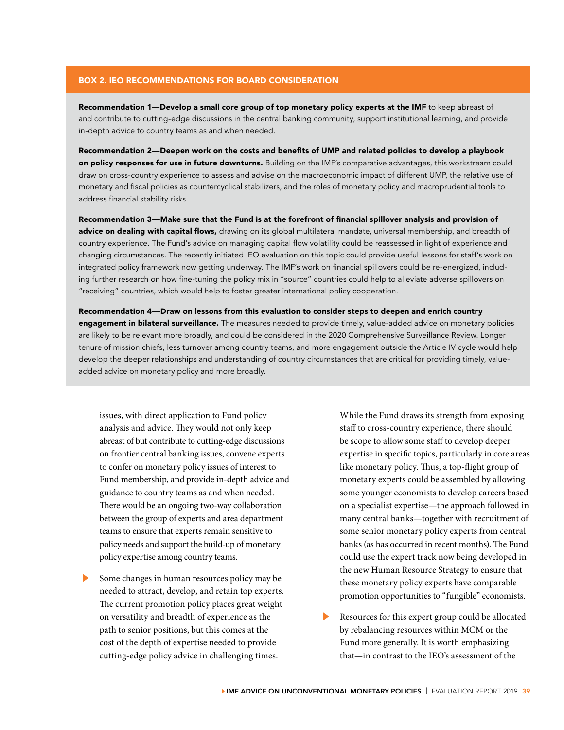#### BOX 2. IEO RECOMMENDATIONS FOR BOARD CONSIDERATION

Recommendation 1—Develop a small core group of top monetary policy experts at the IMF to keep abreast of and contribute to cutting-edge discussions in the central banking community, support institutional learning, and provide in-depth advice to country teams as and when needed.

Recommendation 2—Deepen work on the costs and benefits of UMP and related policies to develop a playbook on policy responses for use in future downturns. Building on the IMF's comparative advantages, this workstream could draw on cross-country experience to assess and advise on the macroeconomic impact of different UMP, the relative use of monetary and fiscal policies as countercyclical stabilizers, and the roles of monetary policy and macroprudential tools to address financial stability risks.

Recommendation 3—Make sure that the Fund is at the forefront of financial spillover analysis and provision of advice on dealing with capital flows, drawing on its global multilateral mandate, universal membership, and breadth of country experience. The Fund's advice on managing capital flow volatility could be reassessed in light of experience and changing circumstances. The recently initiated IEO evaluation on this topic could provide useful lessons for staff's work on integrated policy framework now getting underway. The IMF's work on financial spillovers could be re-energized, including further research on how fine-tuning the policy mix in "source" countries could help to alleviate adverse spillovers on "receiving" countries, which would help to foster greater international policy cooperation.

Recommendation 4—Draw on lessons from this evaluation to consider steps to deepen and enrich country engagement in bilateral surveillance. The measures needed to provide timely, value-added advice on monetary policies are likely to be relevant more broadly, and could be considered in the 2020 Comprehensive Surveillance Review. Longer tenure of mission chiefs, less turnover among country teams, and more engagement outside the Article IV cycle would help develop the deeper relationships and understanding of country circumstances that are critical for providing timely, valueadded advice on monetary policy and more broadly.

issues, with direct application to Fund policy analysis and advice. They would not only keep abreast of but contribute to cutting-edge discussions on frontier central banking issues, convene experts to confer on monetary policy issues of interest to Fund membership, and provide in-depth advice and guidance to country teams as and when needed. There would be an ongoing two-way collaboration between the group of experts and area department teams to ensure that experts remain sensitive to policy needs and support the build-up of monetary policy expertise among country teams.

Some changes in human resources policy may be needed to attract, develop, and retain top experts. The current promotion policy places great weight on versatility and breadth of experience as the path to senior positions, but this comes at the cost of the depth of expertise needed to provide cutting-edge policy advice in challenging times.

While the Fund draws its strength from exposing staff to cross-country experience, there should be scope to allow some staff to develop deeper expertise in specific topics, particularly in core areas like monetary policy. Thus, a top-flight group of monetary experts could be assembled by allowing some younger economists to develop careers based on a specialist expertise—the approach followed in many central banks—together with recruitment of some senior monetary policy experts from central banks (as has occurred in recent months). The Fund could use the expert track now being developed in the new Human Resource Strategy to ensure that these monetary policy experts have comparable promotion opportunities to "fungible" economists.

Resources for this expert group could be allocated by rebalancing resources within MCM or the Fund more generally. It is worth emphasizing that—in contrast to the IEO's assessment of the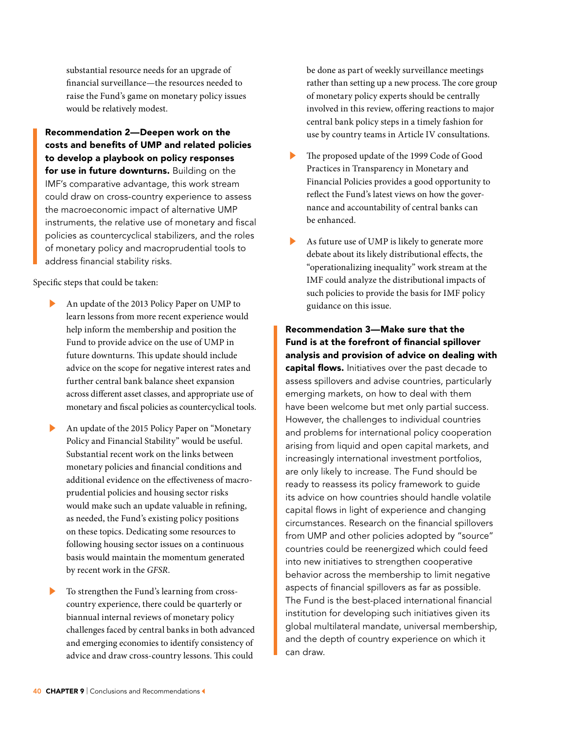substantial resource needs for an upgrade of financial surveillance—the resources needed to raise the Fund's game on monetary policy issues would be relatively modest.

Recommendation 2—Deepen work on the costs and benefits of UMP and related policies to develop a playbook on policy responses for use in future downturns. Building on the IMF's comparative advantage, this work stream could draw on cross-country experience to assess the macroeconomic impact of alternative UMP instruments, the relative use of monetary and fiscal policies as countercyclical stabilizers, and the roles of monetary policy and macroprudential tools to address financial stability risks.

Specific steps that could be taken:

- ▶ An update of the 2013 Policy Paper on UMP to learn lessons from more recent experience would help inform the membership and position the Fund to provide advice on the use of UMP in future downturns. This update should include advice on the scope for negative interest rates and further central bank balance sheet expansion across different asset classes, and appropriate use of monetary and fiscal policies as countercyclical tools.
- An update of the 2015 Policy Paper on "Monetary Policy and Financial Stability" would be useful. Substantial recent work on the links between monetary policies and financial conditions and additional evidence on the effectiveness of macroprudential policies and housing sector risks would make such an update valuable in refining, as needed, the Fund's existing policy positions on these topics. Dedicating some resources to following housing sector issues on a continuous basis would maintain the momentum generated by recent work in the *GFSR*.
- To strengthen the Fund's learning from crosscountry experience, there could be quarterly or biannual internal reviews of monetary policy challenges faced by central banks in both advanced and emerging economies to identify consistency of advice and draw cross-country lessons. This could

be done as part of weekly surveillance meetings rather than setting up a new process. The core group of monetary policy experts should be centrally involved in this review, offering reactions to major central bank policy steps in a timely fashion for use by country teams in Article IV consultations.

- The proposed update of the 1999 Code of Good Practices in Transparency in Monetary and Financial Policies provides a good opportunity to reflect the Fund's latest views on how the governance and accountability of central banks can be enhanced.
- As future use of UMP is likely to generate more debate about its likely distributional effects, the "operationalizing inequality" work stream at the IMF could analyze the distributional impacts of such policies to provide the basis for IMF policy guidance on this issue.

Recommendation 3—Make sure that the Fund is at the forefront of financial spillover analysis and provision of advice on dealing with capital flows. Initiatives over the past decade to assess spillovers and advise countries, particularly emerging markets, on how to deal with them have been welcome but met only partial success. However, the challenges to individual countries and problems for international policy cooperation arising from liquid and open capital markets, and increasingly international investment portfolios, are only likely to increase. The Fund should be ready to reassess its policy framework to guide its advice on how countries should handle volatile capital flows in light of experience and changing circumstances. Research on the financial spillovers from UMP and other policies adopted by "source" countries could be reenergized which could feed into new initiatives to strengthen cooperative behavior across the membership to limit negative aspects of financial spillovers as far as possible. The Fund is the best-placed international financial institution for developing such initiatives given its global multilateral mandate, universal membership, and the depth of country experience on which it can draw.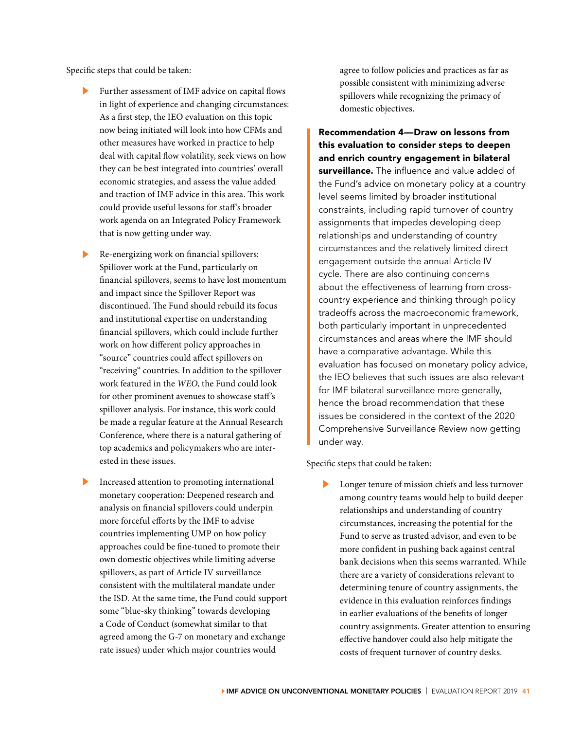Specific steps that could be taken:

- Further assessment of IMF advice on capital flows in light of experience and changing circumstances: As a first step, the IEO evaluation on this topic now being initiated will look into how CFMs and other measures have worked in practice to help deal with capital flow volatility, seek views on how they can be best integrated into countries' overall economic strategies, and assess the value added and traction of IMF advice in this area. This work could provide useful lessons for staff's broader work agenda on an Integrated Policy Framework that is now getting under way.
- ▶ Re-energizing work on financial spillovers: Spillover work at the Fund, particularly on financial spillovers, seems to have lost momentum and impact since the Spillover Report was discontinued. The Fund should rebuild its focus and institutional expertise on understanding financial spillovers, which could include further work on how different policy approaches in "source" countries could affect spillovers on "receiving" countries. In addition to the spillover work featured in the *WEO*, the Fund could look for other prominent avenues to showcase staff's spillover analysis. For instance, this work could be made a regular feature at the Annual Research Conference, where there is a natural gathering of top academics and policymakers who are interested in these issues.
- Increased attention to promoting international monetary cooperation: Deepened research and analysis on financial spillovers could underpin more forceful efforts by the IMF to advise countries implementing UMP on how policy approaches could be fine-tuned to promote their own domestic objectives while limiting adverse spillovers, as part of Article IV surveillance consistent with the multilateral mandate under the ISD. At the same time, the Fund could support some "blue-sky thinking" towards developing a Code of Conduct (somewhat similar to that agreed among the G-7 on monetary and exchange rate issues) under which major countries would

agree to follow policies and practices as far as possible consistent with minimizing adverse spillovers while recognizing the primacy of domestic objectives.

Recommendation 4—Draw on lessons from this evaluation to consider steps to deepen and enrich country engagement in bilateral surveillance. The influence and value added of the Fund's advice on monetary policy at a country level seems limited by broader institutional constraints, including rapid turnover of country assignments that impedes developing deep relationships and understanding of country circumstances and the relatively limited direct engagement outside the annual Article IV cycle. There are also continuing concerns about the effectiveness of learning from crosscountry experience and thinking through policy tradeoffs across the macroeconomic framework, both particularly important in unprecedented circumstances and areas where the IMF should have a comparative advantage. While this evaluation has focused on monetary policy advice, the IEO believes that such issues are also relevant for IMF bilateral surveillance more generally, hence the broad recommendation that these issues be considered in the context of the 2020 Comprehensive Surveillance Review now getting under way.

Specific steps that could be taken:

Longer tenure of mission chiefs and less turnover among country teams would help to build deeper relationships and understanding of country circumstances, increasing the potential for the Fund to serve as trusted advisor, and even to be more confident in pushing back against central bank decisions when this seems warranted. While there are a variety of considerations relevant to determining tenure of country assignments, the evidence in this evaluation reinforces findings in earlier evaluations of the benefits of longer country assignments. Greater attention to ensuring effective handover could also help mitigate the costs of frequent turnover of country desks.